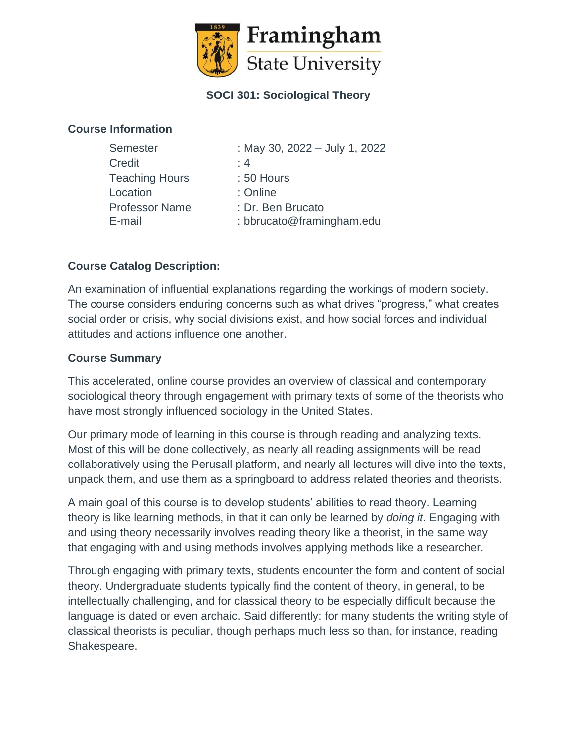

# **SOCI 301: Sociological Theory**

### **Course Information**

| <b>Semester</b>       | : May 30, 2022 - July 1, 2022 |
|-----------------------|-------------------------------|
| Credit                | : 4                           |
| <b>Teaching Hours</b> | : 50 Hours                    |
| Location              | : Online                      |
| <b>Professor Name</b> | : Dr. Ben Brucato             |
| E-mail                | : bbrucato@framingham.edu     |

# **Course Catalog Description:**

An examination of influential explanations regarding the workings of modern society. The course considers enduring concerns such as what drives "progress," what creates social order or crisis, why social divisions exist, and how social forces and individual attitudes and actions influence one another.

## **Course Summary**

This accelerated, online course provides an overview of classical and contemporary sociological theory through engagement with primary texts of some of the theorists who have most strongly influenced sociology in the United States.

Our primary mode of learning in this course is through reading and analyzing texts. Most of this will be done collectively, as nearly all reading assignments will be read collaboratively using the Perusall platform, and nearly all lectures will dive into the texts, unpack them, and use them as a springboard to address related theories and theorists.

A main goal of this course is to develop students' abilities to read theory. Learning theory is like learning methods, in that it can only be learned by *doing it*. Engaging with and using theory necessarily involves reading theory like a theorist, in the same way that engaging with and using methods involves applying methods like a researcher.

Through engaging with primary texts, students encounter the form and content of social theory. Undergraduate students typically find the content of theory, in general, to be intellectually challenging, and for classical theory to be especially difficult because the language is dated or even archaic. Said differently: for many students the writing style of classical theorists is peculiar, though perhaps much less so than, for instance, reading Shakespeare.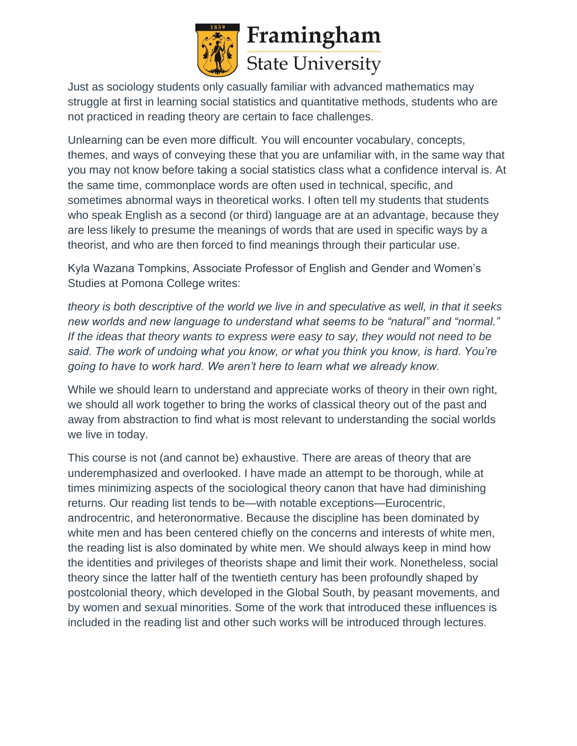

Just as sociology students only casually familiar with advanced mathematics may struggle at first in learning social statistics and quantitative methods, students who are not practiced in reading theory are certain to face challenges.

Unlearning can be even more difficult. You will encounter vocabulary, concepts, themes, and ways of conveying these that you are unfamiliar with, in the same way that you may not know before taking a social statistics class what a confidence interval is. At the same time, commonplace words are often used in technical, specific, and sometimes abnormal ways in theoretical works. I often tell my students that students who speak English as a second (or third) language are at an advantage, because they are less likely to presume the meanings of words that are used in specific ways by a theorist, and who are then forced to find meanings through their particular use.

Kyla Wazana Tompkins, Associate Professor of English and Gender and Women's Studies at Pomona College writes:

*theory is both descriptive of the world we live in and speculative as well, in that it seeks new worlds and new language to understand what seems to be "natural" and "normal." If the ideas that theory wants to express were easy to say, they would not need to be said. The work of undoing what you know, or what you think you know, is hard. You're going to have to work hard. We aren't here to learn what we already know.*

While we should learn to understand and appreciate works of theory in their own right, we should all work together to bring the works of classical theory out of the past and away from abstraction to find what is most relevant to understanding the social worlds we live in today.

This course is not (and cannot be) exhaustive. There are areas of theory that are underemphasized and overlooked. I have made an attempt to be thorough, while at times minimizing aspects of the sociological theory canon that have had diminishing returns. Our reading list tends to be—with notable exceptions—Eurocentric, androcentric, and heteronormative. Because the discipline has been dominated by white men and has been centered chiefly on the concerns and interests of white men, the reading list is also dominated by white men. We should always keep in mind how the identities and privileges of theorists shape and limit their work. Nonetheless, social theory since the latter half of the twentieth century has been profoundly shaped by postcolonial theory, which developed in the Global South, by peasant movements, and by women and sexual minorities. Some of the work that introduced these influences is included in the reading list and other such works will be introduced through lectures.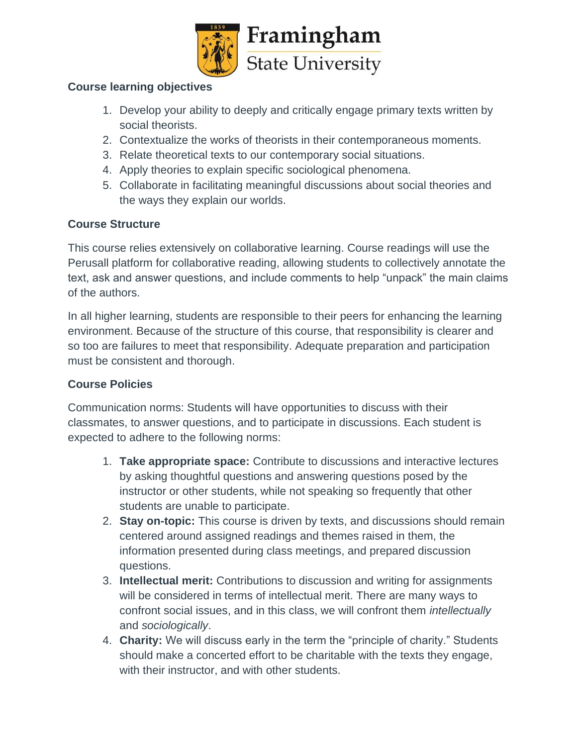

## **Course learning objectives**

- 1. Develop your ability to deeply and critically engage primary texts written by social theorists.
- 2. Contextualize the works of theorists in their contemporaneous moments.
- 3. Relate theoretical texts to our contemporary social situations.
- 4. Apply theories to explain specific sociological phenomena.
- 5. Collaborate in facilitating meaningful discussions about social theories and the ways they explain our worlds.

## **Course Structure**

This course relies extensively on collaborative learning. Course readings will use the Perusall platform for collaborative reading, allowing students to collectively annotate the text, ask and answer questions, and include comments to help "unpack" the main claims of the authors.

In all higher learning, students are responsible to their peers for enhancing the learning environment. Because of the structure of this course, that responsibility is clearer and so too are failures to meet that responsibility. Adequate preparation and participation must be consistent and thorough.

## **Course Policies**

Communication norms: Students will have opportunities to discuss with their classmates, to answer questions, and to participate in discussions. Each student is expected to adhere to the following norms:

- 1. **Take appropriate space:** Contribute to discussions and interactive lectures by asking thoughtful questions and answering questions posed by the instructor or other students, while not speaking so frequently that other students are unable to participate.
- 2. **Stay on-topic:** This course is driven by texts, and discussions should remain centered around assigned readings and themes raised in them, the information presented during class meetings, and prepared discussion questions.
- 3. **Intellectual merit:** Contributions to discussion and writing for assignments will be considered in terms of intellectual merit. There are many ways to confront social issues, and in this class, we will confront them *intellectually* and *sociologically*.
- 4. **Charity:** We will discuss early in the term the "principle of charity." Students should make a concerted effort to be charitable with the texts they engage, with their instructor, and with other students.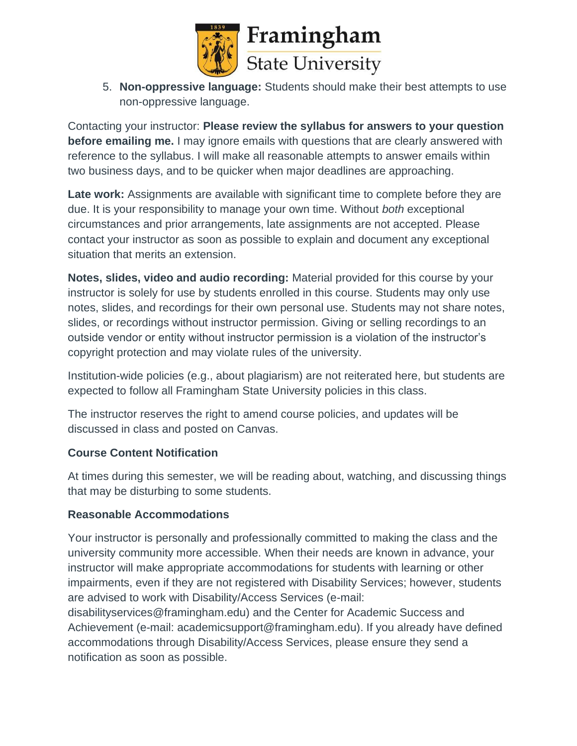

5. **Non-oppressive language:** Students should make their best attempts to use non-oppressive language.

Contacting your instructor: **Please review the syllabus for answers to your question before emailing me.** I may ignore emails with questions that are clearly answered with reference to the syllabus. I will make all reasonable attempts to answer emails within two business days, and to be quicker when major deadlines are approaching.

Late work: Assignments are available with significant time to complete before they are due. It is your responsibility to manage your own time. Without *both* exceptional circumstances and prior arrangements, late assignments are not accepted. Please contact your instructor as soon as possible to explain and document any exceptional situation that merits an extension.

**Notes, slides, video and audio recording:** Material provided for this course by your instructor is solely for use by students enrolled in this course. Students may only use notes, slides, and recordings for their own personal use. Students may not share notes, slides, or recordings without instructor permission. Giving or selling recordings to an outside vendor or entity without instructor permission is a violation of the instructor's copyright protection and may violate rules of the university.

Institution-wide policies (e.g., about plagiarism) are not reiterated here, but students are expected to follow all Framingham State University policies in this class.

The instructor reserves the right to amend course policies, and updates will be discussed in class and posted on Canvas.

## **Course Content Notification**

At times during this semester, we will be reading about, watching, and discussing things that may be disturbing to some students.

## **Reasonable Accommodations**

Your instructor is personally and professionally committed to making the class and the university community more accessible. When their needs are known in advance, your instructor will make appropriate accommodations for students with learning or other impairments, even if they are not registered with Disability Services; however, students are advised to work with Disability/Access Services (e-mail:

disabilityservices@framingham.edu) and the Center for Academic Success and Achievement (e-mail: academicsupport@framingham.edu). If you already have defined accommodations through Disability/Access Services, please ensure they send a notification as soon as possible.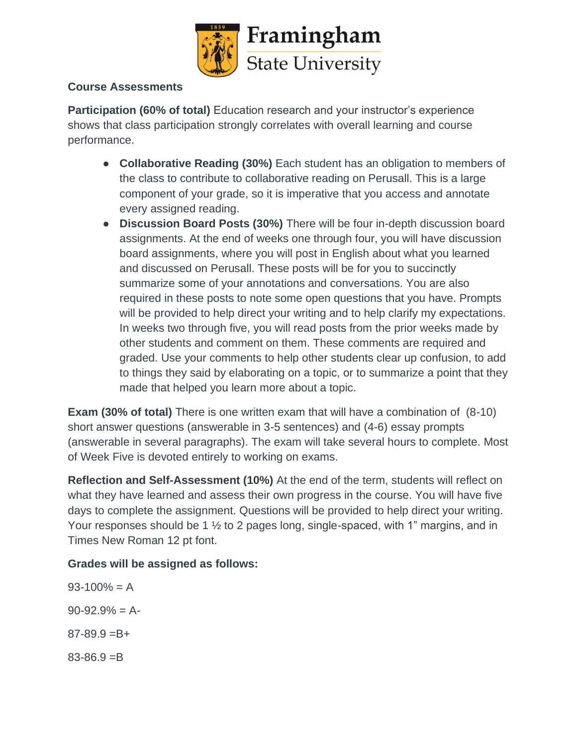

# **Course Assessments**

**Participation (60% of total)** Education research and your instructor's experience shows that class participation strongly correlates with overall learning and course performance.

- **Collaborative Reading (30%)** Each student has an obligation to members of the class to contribute to collaborative reading on Perusall. This is a large component of your grade, so it is imperative that you access and annotate every assigned reading.
- **Discussion Board Posts (30%)** There will be four in-depth discussion board assignments. At the end of weeks one through four, you will have discussion board assignments, where you will post in English about what you learned and discussed on Perusall. These posts will be for you to succinctly summarize some of your annotations and conversations. You are also required in these posts to note some open questions that you have. Prompts will be provided to help direct your writing and to help clarify my expectations. In weeks two through five, you will read posts from the prior weeks made by other students and comment on them. These comments are required and graded. Use your comments to help other students clear up confusion, to add to things they said by elaborating on a topic, or to summarize a point that they made that helped you learn more about a topic.

**Exam (30% of total)** There is one written exam that will have a combination of (8-10) short answer questions (answerable in 3-5 sentences) and (4-6) essay prompts (answerable in several paragraphs). The exam will take several hours to complete. Most of Week Five is devoted entirely to working on exams.

**Reflection and Self-Assessment (10%)** At the end of the term, students will reflect on what they have learned and assess their own progress in the course. You will have five days to complete the assignment. Questions will be provided to help direct your writing. Your responses should be 1 ½ to 2 pages long, single-spaced, with 1" margins, and in Times New Roman 12 pt font.

# **Grades will be assigned as follows:**

 $93-100% = A$  $90-92.9% = A$  $87 - 89.9 = B +$  $83 - 86.9 = B$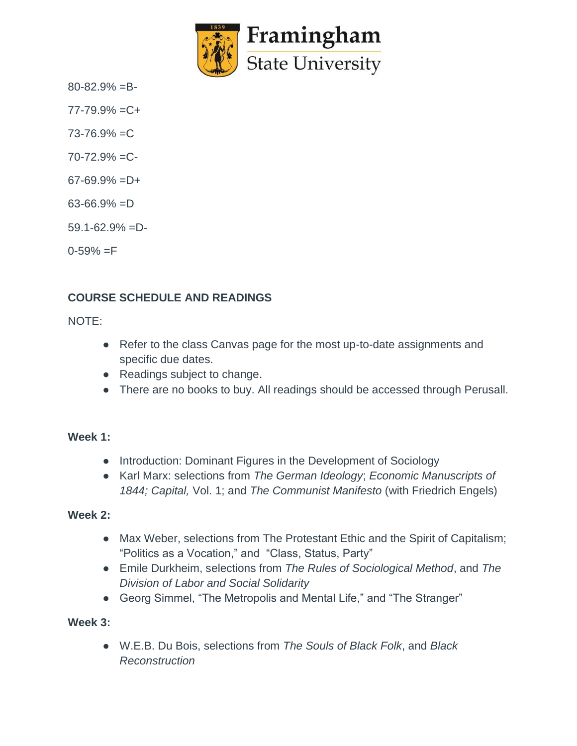

 $80 - 82.9\% = B -$ 

 $77 - 79.9\% = C +$ 

 $73 - 76.9\% = C$ 

- $70 72.9\% = C$
- $67-69.9% = D+$
- $63-66.9\% = D$
- $59.1 62.9\% = D$

 $0 - 59\% = F$ 

# **COURSE SCHEDULE AND READINGS**

NOTE:

- Refer to the class Canvas page for the most up-to-date assignments and specific due dates.
- Readings subject to change.
- There are no books to buy. All readings should be accessed through Perusall.

#### **Week 1:**

- Introduction: Dominant Figures in the Development of Sociology
- Karl Marx: selections from *The German Ideology*; *Economic Manuscripts of*  1844; Capital, Vol. 1; and *The Communist Manifesto* (with Friedrich Engels)

#### **Week 2:**

- Max Weber, selections from The Protestant Ethic and the Spirit of Capitalism; "Politics as a Vocation," and "Class, Status, Party"
- Emile Durkheim, selections from *The Rules of Sociological Method*, and *The Division of Labor and Social Solidarity*
- Georg Simmel, "The Metropolis and Mental Life," and "The Stranger"

#### **Week 3:**

● W.E.B. Du Bois, selections from *The Souls of Black Folk*, and *Black Reconstruction*